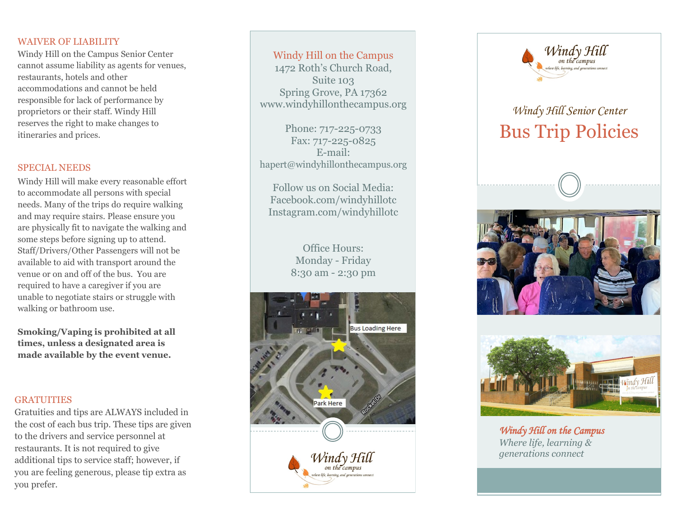#### WAIVER OF LIABILITY

Windy Hill on the Campus Senior Center cannot assume liability as agents for venues, restaurants, hotels and other accommodations and cannot be held responsible for lack of performance by proprietors or their staff. Windy Hill reserves the right to make changes to itineraries and prices.

#### SPECIAL NEEDS

Windy Hill will make every reasonable effort to accommodate all persons with special needs. Many of the trips do require walking and may require stairs. Please ensure you are physically fit to navigate the walking and some steps before signing up to attend. Staff/Drivers/Other Passengers will not be available to aid with transport around the venue or on and off of the bus. You are required to have a caregiver if you are unable to negotiate stairs or struggle with walking or bathroom use.

**Smoking/Vaping is prohibited at all times, unless a designated area is made available by the event venue.**

#### **GRATUITIES**

Gratuities and tips are ALWAYS included in the cost of each bus trip. These tips are given to the drivers and service personnel at restaurants. It is not required to give additional tips to service staff; however, if you are feeling generous, please tip extra as you prefer.

#### Windy Hill on the Campus

1472 Roth 's Church Road, Suite 103 Spring Grove, PA 17362 www.windyhillonthecampus.org

Phone: 717-225-0733 Fax: 717-225-0825 E -mail: hapert@windyhillonthecampus.org

Follow us on Social Media: Facebook.com/windyhillotc Instagram.com/windyhillotc

> Office Hours: Monday - Friday 8:30 am - 2:30 pm





# *Windy Hill Senior Center*  Bus Trip Policies





*Windy Hill on the Campus Where life, learning & generations connect*